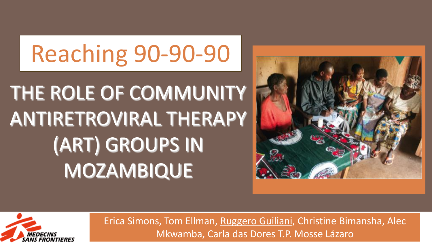# Reaching 90-90-90

## THE ROLE OF COMMUNITY ANTIRETROVIRAL THERAPY (ART) GROUPS IN **MOZAMBIQUE**





Erica Simons, Tom Ellman, Ruggero Guiliani, Christine Bimansha, Alec Mkwamba, Carla das Dores T.P. Mosse Lázaro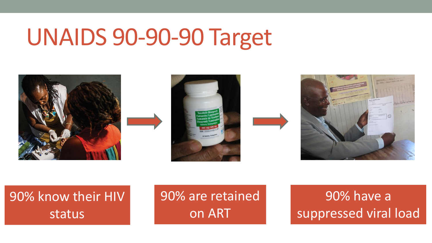#### UNAIDS 90-90-90 Target



#### 90% know their HIV status

90% are retained on ART

#### 90% have a suppressed viral load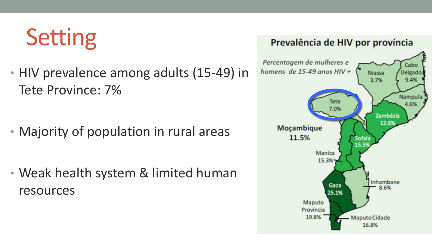## Setting

• HIV prevalence among adults (15-49) in Tete Province: 7%

• Majority of population in rural areas

• Weak health system & limited human resources

#### Prevalência de HIV por província Percentagem de mulheres e Cabo homens de 15-49 anos HIV + Niassa Delgado 3.7% 9.4% Nampula Tete 4.6% 7.0% Zambézia 12.69 Moçambique 11.5% iofal Manica 15.3% Inhambane Gaza 8.6% 25.1% Maputo Província 19.8% Maputo Cidade 16.8%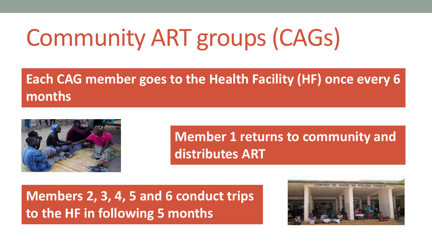# Community ART groups (CAGs)

**Each CAG member goes to the Health Facility (HF) once every 6 months**



**Member 1 returns to community and distributes ART** 

**Members 2, 3, 4, 5 and 6 conduct trips to the HF in following 5 months**

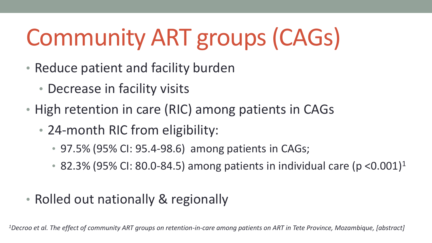# Community ART groups (CAGs)

- Reduce patient and facility burden
	- Decrease in facility visits
- High retention in care (RIC) among patients in CAGs
	- 24-month RIC from eligibility:
		- 97.5% (95% CI: 95.4-98.6) among patients in CAGs;
		- 82.3% (95% CI: 80.0-84.5) among patients in individual care (p <0.001)<sup>1</sup>
- Rolled out nationally & regionally

*<sup>1</sup>Decroo et al. The effect of community ART groups on retention-in-care among patients on ART in Tete Province, Mozambique, [abstract]*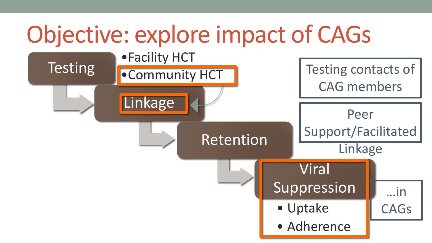#### Objective: explore impact of CAGs

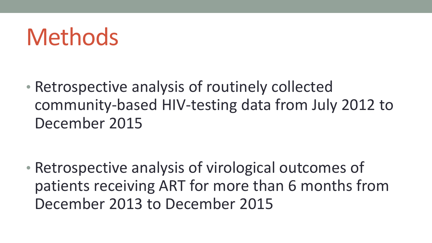#### **Methods**

• Retrospective analysis of routinely collected community-based HIV-testing data from July 2012 to December 2015

• Retrospective analysis of virological outcomes of patients receiving ART for more than 6 months from December 2013 to December 2015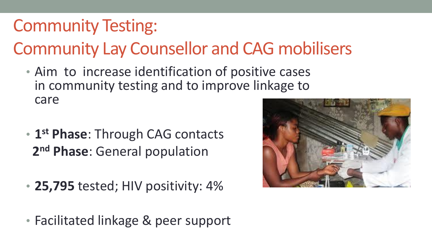#### Community Testing:

Community Lay Counsellor and CAG mobilisers

- Aim to increase identification of positive cases in community testing and to improve linkage to care
- **1 st Phase**: Through CAG contacts **2 nd Phase**: General population
- **25,795** tested; HIV positivity: 4%
- Facilitated linkage & peer support

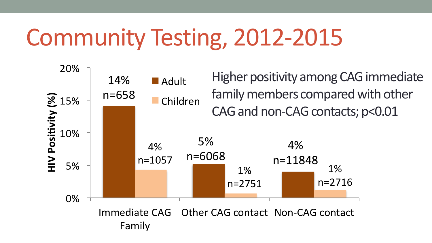## Community Testing, 2012-2015

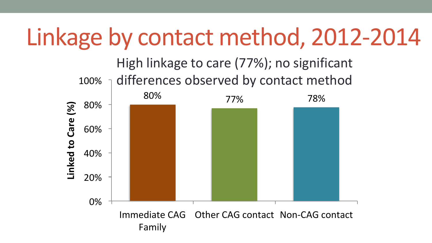## Linkage by contact method, 2012-2014

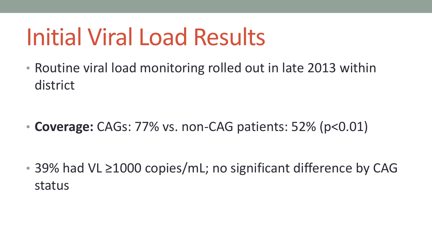#### Initial Viral Load Results

• Routine viral load monitoring rolled out in late 2013 within district

• **Coverage:** CAGs: 77% vs. non-CAG patients: 52% (p<0.01)

• 39% had VL ≥1000 copies/mL; no significant difference by CAG status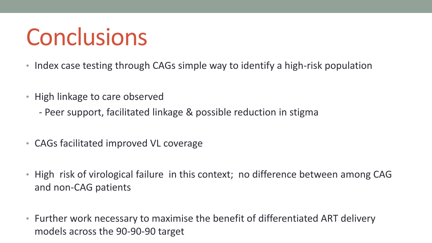#### **Conclusions**

- Index case testing through CAGs simple way to identify a high-risk population
- High linkage to care observed
	- Peer support, facilitated linkage & possible reduction in stigma
- CAGs facilitated improved VL coverage
- High risk of virological failure in this context; no difference between among CAG and non-CAG patients
- Further work necessary to maximise the benefit of differentiated ART delivery models across the 90-90-90 target